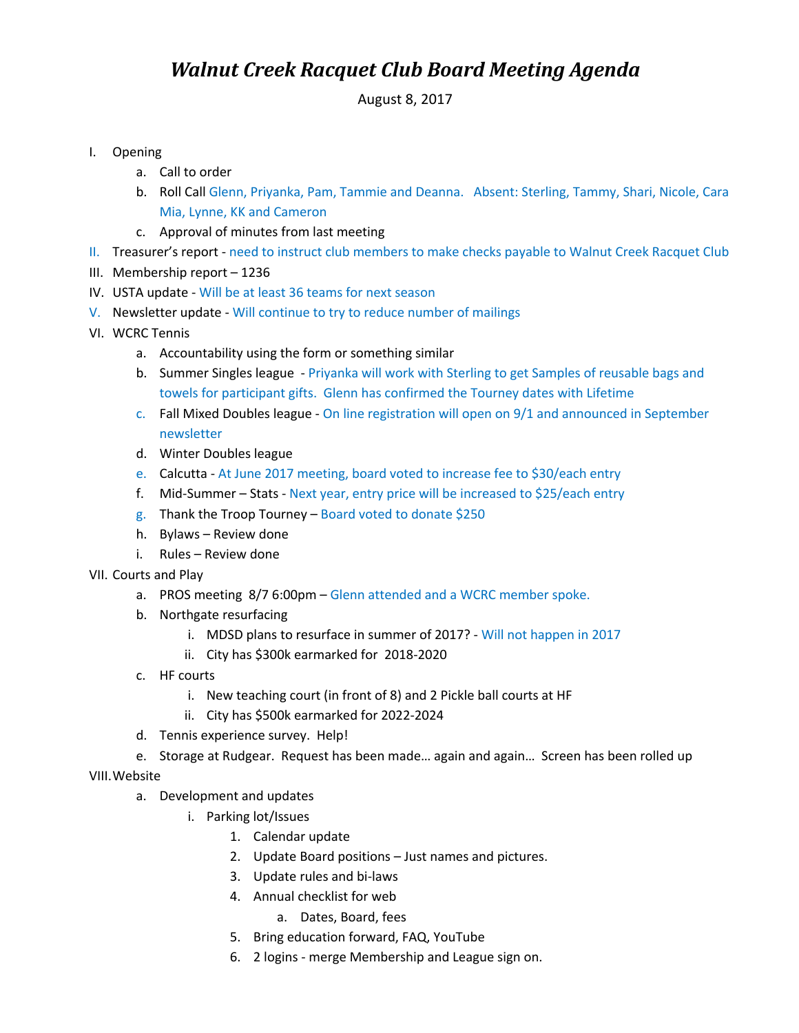## *Walnut Creek Racquet Club Board Meeting Agenda*

August 8, 2017

- I. Opening
	- a. Call to order
	- b. Roll Call Glenn, Priyanka, Pam, Tammie and Deanna. Absent: Sterling, Tammy, Shari, Nicole, Cara Mia, Lynne, KK and Cameron
	- c. Approval of minutes from last meeting
- II. Treasurer's report need to instruct club members to make checks payable to Walnut Creek Racquet Club
- III. Membership report 1236
- IV. USTA update Will be at least 36 teams for next season
- V. Newsletter update Will continue to try to reduce number of mailings
- VI. WCRC Tennis
	- a. Accountability using the form or something similar
	- b. Summer Singles league Priyanka will work with Sterling to get Samples of reusable bags and towels for participant gifts. Glenn has confirmed the Tourney dates with Lifetime
	- c. Fall Mixed Doubles league On line registration will open on 9/1 and announced in September newsletter
	- d. Winter Doubles league
	- e. Calcutta At June 2017 meeting, board voted to increase fee to \$30/each entry
	- f. Mid-Summer Stats Next year, entry price will be increased to \$25/each entry
	- g. Thank the Troop Tourney Board voted to donate \$250
	- h. Bylaws Review done
	- i. Rules Review done
- VII. Courts and Play
	- a. PROS meeting 8/7 6:00pm Glenn attended and a WCRC member spoke.
	- b. Northgate resurfacing
		- i. MDSD plans to resurface in summer of 2017? Will not happen in 2017
		- ii. City has \$300k earmarked for 2018-2020
	- c. HF courts
		- i. New teaching court (in front of 8) and 2 Pickle ball courts at HF
		- ii. City has \$500k earmarked for 2022-2024
	- d. Tennis experience survey. Help!
	- e. Storage at Rudgear. Request has been made… again and again… Screen has been rolled up

VIII.Website

- a. Development and updates
	- i. Parking lot/Issues
		- 1. Calendar update
			- 2. Update Board positions Just names and pictures.
		- 3. Update rules and bi-laws
		- 4. Annual checklist for web
			- a. Dates, Board, fees
		- 5. Bring education forward, FAQ, YouTube
		- 6. 2 logins merge Membership and League sign on.